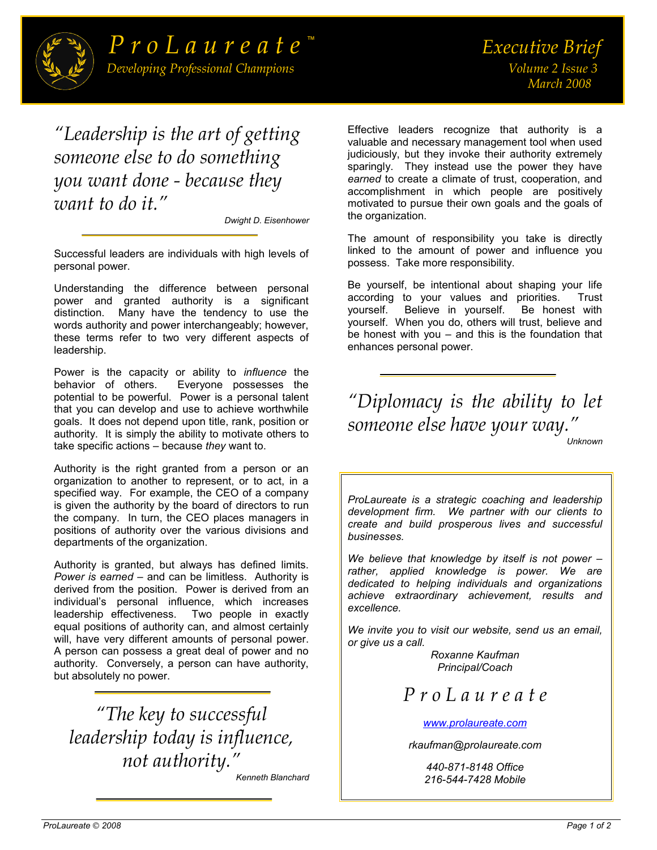

*"Leadership is the art of getting someone else to do something you want done - because they want to do it."*

*Dwight D. Eisenhower* 

Successful leaders are individuals with high levels of personal power.

Understanding the difference between personal power and granted authority is a significant distinction. Many have the tendency to use the words authority and power interchangeably; however, these terms refer to two very different aspects of leadership.

Power is the capacity or ability to *influence* the Everyone possesses the potential to be powerful. Power is a personal talent that you can develop and use to achieve worthwhile goals. It does not depend upon title, rank, position or authority. It is simply the ability to motivate others to take specific actions – because *they* want to.

Authority is the right granted from a person or an organization to another to represent, or to act, in a specified way. For example, the CEO of a company is given the authority by the board of directors to run the company. In turn, the CEO places managers in positions of authority over the various divisions and departments of the organization.

Authority is granted, but always has defined limits. *Power is earned* – and can be limitless. Authority is derived from the position. Power is derived from an individual's personal influence, which increases leadership effectiveness. Two people in exactly equal positions of authority can, and almost certainly will, have very different amounts of personal power. A person can possess a great deal of power and no authority. Conversely, a person can have authority, but absolutely no power.

*"The key to successful leadership today is influence, not authority." [Kenneth Blanchard](http://www.wisdomquotes.com/001197.html)* 

Effective leaders recognize that authority is a valuable and necessary management tool when used judiciously, but they invoke their authority extremely sparingly. They instead use the power they have *earned* to create a climate of trust, cooperation, and accomplishment in which people are positively motivated to pursue their own goals and the goals of the organization.

The amount of responsibility you take is directly linked to the amount of power and influence you possess. Take more responsibility.

Be yourself, be intentional about shaping your life according to your values and priorities. Trust yourself. Believe in yourself. Be honest with yourself. When you do, others will trust, believe and be honest with you – and this is the foundation that enhances personal power.

*"Diplomacy is the ability to let someone else have your way."*

*Unknown* 

*ProLaureate is a strategic coaching and leadership development firm. We partner with our clients to create and build prosperous lives and successful businesses.* 

*We believe that knowledge by itself is not power – rather, applied knowledge is power. We are dedicated to helping individuals and organizations achieve extraordinary achievement, results and excellence.* 

*We invite you to visit our website, send us an email, or give us a call.*

*Roxanne Kaufman Principal/Coach* 

*P r o L a u r e a t e* 

*[www.prolaureate.com](http://www.prolaureate.com/)*

*rkaufman@prolaureate.com* 

*440-871-8148 Office 216-544-7428 Mobile*